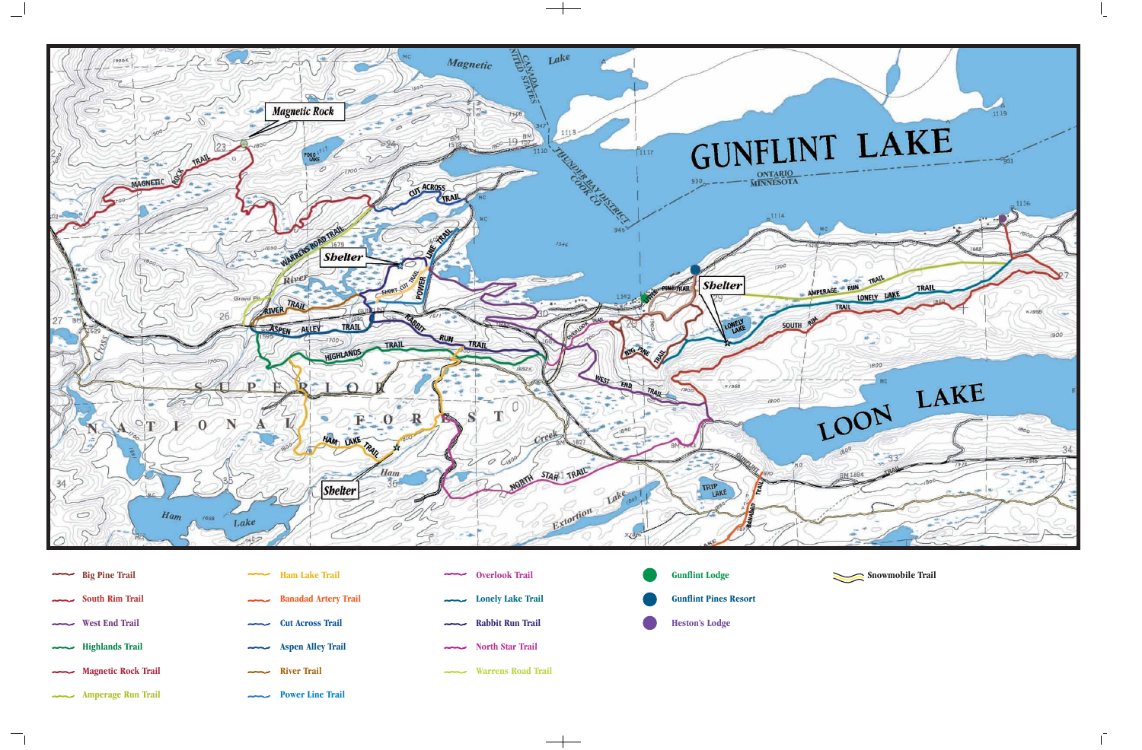

**Big Pine Trail South Rim Trail West End Trail** ᅮ **Highlands Trail** سيست **Magnetic Rock Trail**

**Amperage Run Trail** 

- **Ham Lake Trail Banadad Artery Trail Cut Across Trail Aspen Alley Trail** ستنت **River Trail Power Line Trail**
- **Overlook Trail** سيست **Lonely Lake Trail**  $\sim$ **Rabbit Run Trail North Star Trail Warrens Road Trail**
- **Gunflint Lodge Gunflint Pines Resort Heston's Lodge**